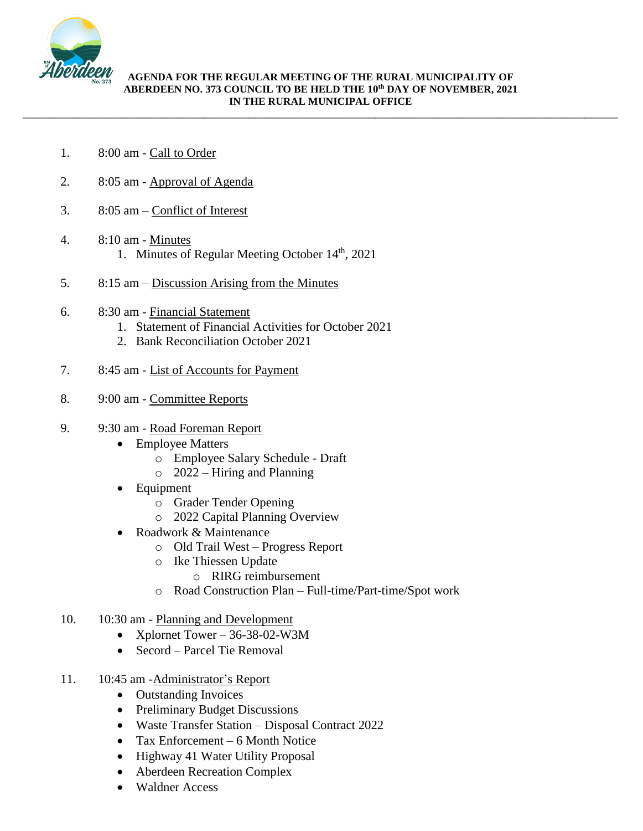

## **AGENDA FOR THE REGULAR MEETING OF THE RURAL MUNICIPALITY OF ABERDEEN NO. 373 COUNCIL TO BE HELD THE 10 th DAY OF NOVEMBER, 2021 IN THE RURAL MUNICIPAL OFFICE**

\_\_\_\_\_\_\_\_\_\_\_\_\_\_\_\_\_\_\_\_\_\_\_\_\_\_\_\_\_\_\_\_\_\_\_\_\_\_\_\_\_\_\_\_\_\_\_\_\_\_\_\_\_\_\_\_\_\_\_\_\_\_\_\_\_\_\_\_\_\_\_\_\_\_\_\_\_\_\_\_\_\_\_\_\_\_\_\_\_\_\_\_\_\_\_\_\_\_\_\_\_\_\_\_\_\_\_\_

- 1. 8:00 am Call to Order
- 2. 8:05 am Approval of Agenda
- 3. 8:05 am Conflict of Interest
- 4. 8:10 am Minutes 1. Minutes of Regular Meeting October 14<sup>th</sup>, 2021
- 5. 8:15 am Discussion Arising from the Minutes
- 6. 8:30 am Financial Statement
	- 1. Statement of Financial Activities for October 2021
	- 2. Bank Reconciliation October 2021
- 7. 8:45 am List of Accounts for Payment
- 8. 9:00 am Committee Reports

## 9. 9:30 am - Road Foreman Report

- Employee Matters
	- o Employee Salary Schedule Draft
	- $\degree$  2022 Hiring and Planning
- **Equipment** 
	- o Grader Tender Opening
	- o 2022 Capital Planning Overview
- Roadwork & Maintenance
	- o Old Trail West Progress Report
	- o Ike Thiessen Update
		- o RIRG reimbursement
	- o Road Construction Plan Full-time/Part-time/Spot work
- 10. 10:30 am Planning and Development
	- Xplornet Tower  $36-38-02-W3M$
	- Secord Parcel Tie Removal
- 11. 10:45 am -Administrator's Report
	- Outstanding Invoices
	- Preliminary Budget Discussions
	- Waste Transfer Station Disposal Contract 2022
	- Tax Enforcement 6 Month Notice
	- Highway 41 Water Utility Proposal
	- Aberdeen Recreation Complex
	- Waldner Access